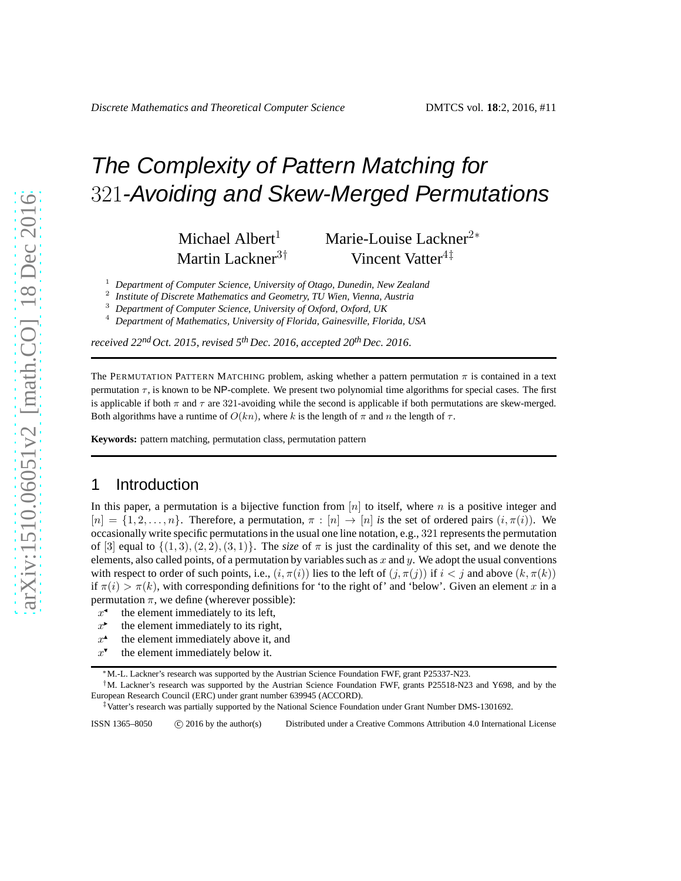# The Complexity of Pattern Matching for 321-Avoiding and Skew-Merged Permutations

Michael Albert<sup>1</sup> Marie-Louise Lackner<sup>2</sup><sup>∗</sup> Martin Lackner<sup>3†</sup> Vincent Vatter<sup>4‡</sup>

2 *Institute of Discrete Mathematics and Geometry, TU Wien, Vienna, Austria*

<sup>3</sup> *Department of Computer Science, University of Oxford, Oxford, UK*

<sup>4</sup> *Department of Mathematics, University of Florida, Gainesville, Florida, USA*

*received 22ndOct. 2015*, *revised 5th Dec. 2016*, *accepted 20thDec. 2016*.

The PERMUTATION PATTERN MATCHING problem, asking whether a pattern permutation  $\pi$  is contained in a text permutation  $\tau$ , is known to be NP-complete. We present two polynomial time algorithms for special cases. The first is applicable if both  $\pi$  and  $\tau$  are 321-avoiding while the second is applicable if both permutations are skew-merged. Both algorithms have a runtime of  $O(kn)$ , where k is the length of  $\pi$  and  $n$  the length of  $\tau$ .

**Keywords:** pattern matching, permutation class, permutation pattern

## 1 Introduction

In this paper, a permutation is a bijective function from  $[n]$  to itself, where n is a positive integer and  $[n] = \{1, 2, \ldots, n\}$ . Therefore, a permutation,  $\pi : [n] \to [n]$  *is* the set of ordered pairs  $(i, \pi(i))$ . We occasionally write specific permutations in the usual one line notation, e.g., 321 represents the permutation of [3] equal to  $\{(1, 3), (2, 2), (3, 1)\}$ . The *size* of  $\pi$  is just the cardinality of this set, and we denote the elements, also called points, of a permutation by variables such as x and y. We adopt the usual conventions with respect to order of such points, i.e.,  $(i, \pi(i))$  lies to the left of  $(j, \pi(j))$  if  $i < j$  and above  $(k, \pi(k))$ if  $\pi(i) > \pi(k)$ , with corresponding definitions for 'to the right of' and 'below'. Given an element x in a permutation  $\pi$ , we define (wherever possible):

- $x^{\bullet}$  the element immediately to its left,
- $x^*$  the element immediately to its right,
- $x^*$  the element immediately above it, and
- $x^{\bullet}$  the element immediately below it.

<sup>1</sup> *Department of Computer Science, University of Otago, Dunedin, New Zealand*

<sup>∗</sup>M.-L. Lackner's research was supported by the Austrian Science Foundation FWF, grant P25337-N23.

<sup>†</sup>M. Lackner's research was supported by the Austrian Science Foundation FWF, grants P25518-N23 and Y698, and by the European Research Council (ERC) under grant number 639945 (ACCORD).

<sup>‡</sup>Vatter's research was partially supported by the National Science Foundation under Grant Number DMS-1301692.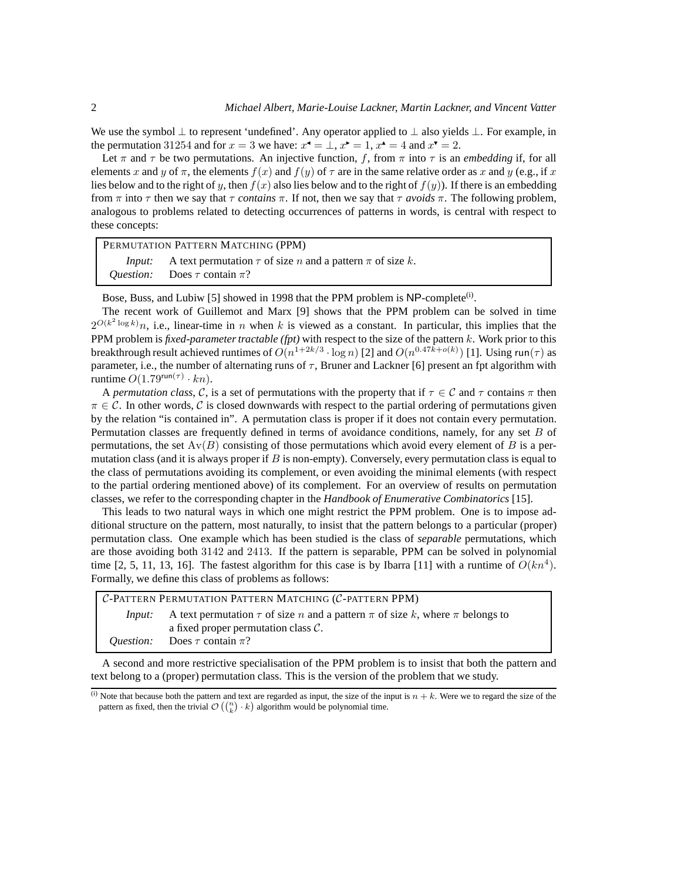We use the symbol  $\perp$  to represent 'undefined'. Any operator applied to  $\perp$  also yields  $\perp$ . For example, in the permutation 31254 and for  $x = 3$  we have:  $x^4 = \perp$ ,  $x^2 = 1$ ,  $x^4 = 4$  and  $x^7 = 2$ .

Let  $\pi$  and  $\tau$  be two permutations. An injective function, f, from  $\pi$  into  $\tau$  is an *embedding* if, for all elements x and y of  $\pi$ , the elements  $f(x)$  and  $f(y)$  of  $\tau$  are in the same relative order as x and y (e.g., if x lies below and to the right of y, then  $f(x)$  also lies below and to the right of  $f(y)$ ). If there is an embedding from  $\pi$  into  $\tau$  then we say that  $\tau$  *contains*  $\pi$ . If not, then we say that  $\tau$  *avoids*  $\pi$ . The following problem, analogous to problems related to detecting occurrences of patterns in words, is central with respect to these concepts:

PERMUTATION PATTERN MATCHING (PPM)

| Input: | A text permutation $\tau$ of size n and a pattern $\pi$ of size k. |
|--------|--------------------------------------------------------------------|
|        | <i>Question:</i> Does $\tau$ contain $\pi$ ?                       |

Bose, Buss, and Lubiw [5] showed in 1998 that the PPM problem is NP-complete<sup>(i)</sup>.

The recent work of Guillemot and Marx [9] shows that the PPM problem can be solved in time  $2^{O(k^2 \log k)}n$ , i.e., linear-time in n when k is viewed as a constant. In particular, this implies that the PPM problem is *fixed-parameter tractable (fpt)* with respect to the size of the pattern k. Work prior to this breakthrough result achieved runtimes of  $O(n^{1+2k/3} \cdot \log n)$  [2] and  $O(n^{0.47\bar{k}+o(k)})$  [1]. Using run( $\tau$ ) as parameter, i.e., the number of alternating runs of  $\tau$ , Bruner and Lackner [6] present an fpt algorithm with runtime  $O(1.79^{\text{run}(\tau)} \cdot kn)$ .

A *permutation class*, C, is a set of permutations with the property that if  $\tau \in C$  and  $\tau$  contains  $\pi$  then  $\pi \in \mathcal{C}$ . In other words, C is closed downwards with respect to the partial ordering of permutations given by the relation "is contained in". A permutation class is proper if it does not contain every permutation. Permutation classes are frequently defined in terms of avoidance conditions, namely, for any set B of permutations, the set  $Av(B)$  consisting of those permutations which avoid every element of B is a permutation class (and it is always proper if  $B$  is non-empty). Conversely, every permutation class is equal to the class of permutations avoiding its complement, or even avoiding the minimal elements (with respect to the partial ordering mentioned above) of its complement. For an overview of results on permutation classes, we refer to the corresponding chapter in the *Handbook of Enumerative Combinatorics* [15].

This leads to two natural ways in which one might restrict the PPM problem. One is to impose additional structure on the pattern, most naturally, to insist that the pattern belongs to a particular (proper) permutation class. One example which has been studied is the class of *separable* permutations, which are those avoiding both 3142 and 2413. If the pattern is separable, PPM can be solved in polynomial time [2, 5, 11, 13, 16]. The fastest algorithm for this case is by Ibarra [11] with a runtime of  $O(kn^4)$ . Formally, we define this class of problems as follows:

| C-PATTERN PERMUTATION PATTERN MATCHING (C-PATTERN PPM) |                                                                                           |  |
|--------------------------------------------------------|-------------------------------------------------------------------------------------------|--|
| Input:                                                 | A text permutation $\tau$ of size n and a pattern $\pi$ of size k, where $\pi$ belongs to |  |
|                                                        | a fixed proper permutation class $\mathcal{C}$ .                                          |  |
|                                                        | <i>Ouestion:</i> Does $\tau$ contain $\pi$ ?                                              |  |
|                                                        |                                                                                           |  |

A second and more restrictive specialisation of the PPM problem is to insist that both the pattern and text belong to a (proper) permutation class. This is the version of the problem that we study.

<sup>(</sup>i) Note that because both the pattern and text are regarded as input, the size of the input is  $n + k$ . Were we to regard the size of the pattern as fixed, then the trivial  $\mathcal{O}\left(\binom{n}{k} \cdot k\right)$  algorithm would be polynomial time.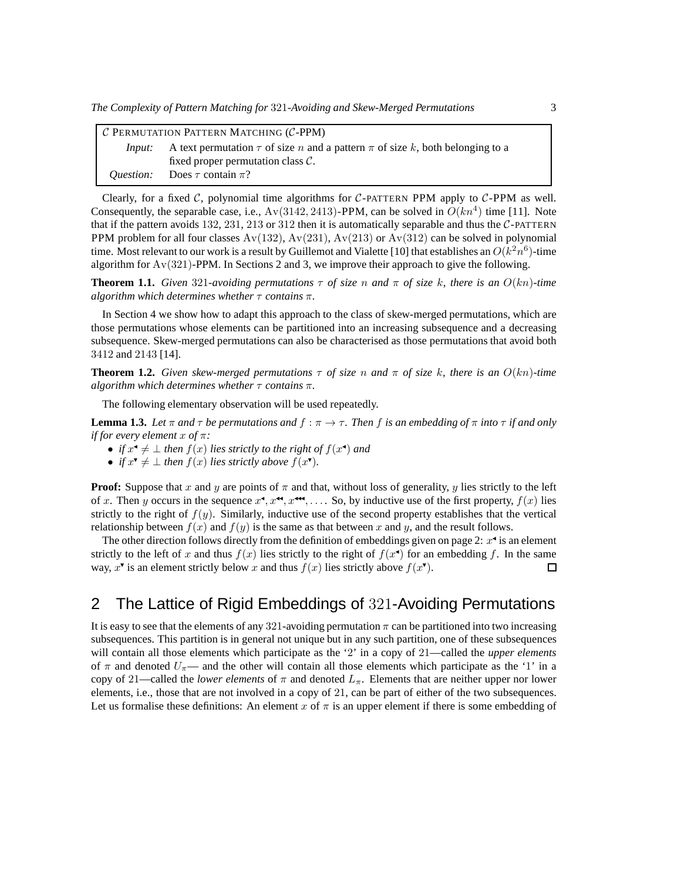| $C$ PERMUTATION PATTERN MATCHING (C-PPM) |                                                                                        |  |
|------------------------------------------|----------------------------------------------------------------------------------------|--|
| Input:                                   | A text permutation $\tau$ of size n and a pattern $\pi$ of size k, both belonging to a |  |
|                                          | fixed proper permutation class $\mathcal{C}$ .                                         |  |
|                                          | <i>Ouestion:</i> Does $\tau$ contain $\pi$ ?                                           |  |

Clearly, for a fixed  $C$ , polynomial time algorithms for  $C$ -PATTERN PPM apply to  $C$ -PPM as well. Consequently, the separable case, i.e.,  $Av(3142, 2413)$ -PPM, can be solved in  $O(kn^4)$  time [11]. Note that if the pattern avoids 132, 231, 213 or 312 then it is automatically separable and thus the  $C$ -PATTERN PPM problem for all four classes  $Av(132)$ ,  $Av(231)$ ,  $Av(213)$  or  $Av(312)$  can be solved in polynomial time. Most relevant to our work is a result by Guillemot and Vialette [10] that establishes an  $O(k^2n^6)$ -time algorithm for Av(321)-PPM. In Sections 2 and 3, we improve their approach to give the following.

**Theorem 1.1.** *Given* 321*-avoiding permutations*  $\tau$  *of size* n and  $\pi$  *of size* k, there is an  $O(kn)$ *-time algorithm which determines whether* τ *contains* π*.*

In Section 4 we show how to adapt this approach to the class of skew-merged permutations, which are those permutations whose elements can be partitioned into an increasing subsequence and a decreasing subsequence. Skew-merged permutations can also be characterised as those permutations that avoid both 3412 and 2143 [14].

**Theorem 1.2.** *Given skew-merged permutations*  $\tau$  *of size* n *and*  $\pi$  *of size* k, there is an  $O(kn)$ *-time algorithm which determines whether* τ *contains* π*.*

The following elementary observation will be used repeatedly.

**Lemma 1.3.** Let  $\pi$  and  $\tau$  be permutations and  $f : \pi \to \tau$ . Then f is an embedding of  $\pi$  *into*  $\tau$  *if and only if for every element* x *of* π*:*

- *if*  $x^4 \neq \bot$  *then*  $f(x)$  *lies strictly to the right of*  $f(x^4)$  *and*
- *if*  $x^{\mathbf{v}} \neq \bot$  *then*  $f(x)$  *lies strictly above*  $f(x^{\mathbf{v}})$ *.*

**Proof:** Suppose that x and y are points of  $\pi$  and that, without loss of generality, y lies strictly to the left of x. Then y occurs in the sequence  $x^{\bullet}, x^{\bullet\bullet}, x^{\bullet\bullet}, \ldots$ . So, by inductive use of the first property,  $f(x)$  lies strictly to the right of  $f(y)$ . Similarly, inductive use of the second property establishes that the vertical relationship between  $f(x)$  and  $f(y)$  is the same as that between x and y, and the result follows.

The other direction follows directly from the definition of embeddings given on page 2:  $x^4$  is an element strictly to the left of x and thus  $f(x)$  lies strictly to the right of  $f(x^{\bullet})$  for an embedding f. In the same way,  $x^{\mathbf{v}}$  is an element strictly below x and thus  $f(x)$  lies strictly above  $f(x^{\mathbf{v}})$ .  $\Box$ 

## 2 The Lattice of Rigid Embeddings of 321-Avoiding Permutations

It is easy to see that the elements of any 321-avoiding permutation  $\pi$  can be partitioned into two increasing subsequences. This partition is in general not unique but in any such partition, one of these subsequences will contain all those elements which participate as the '2' in a copy of 21—called the *upper elements* of  $\pi$  and denoted  $U_{\pi}$ — and the other will contain all those elements which participate as the '1' in a copy of 21—called the *lower elements* of  $\pi$  and denoted  $L_{\pi}$ . Elements that are neither upper nor lower elements, i.e., those that are not involved in a copy of 21, can be part of either of the two subsequences. Let us formalise these definitions: An element x of  $\pi$  is an upper element if there is some embedding of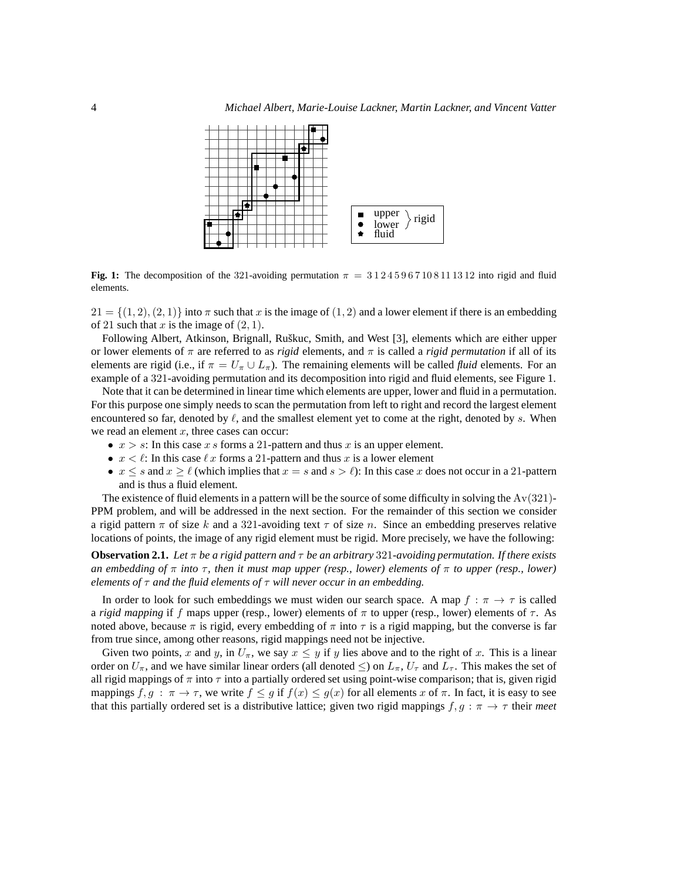

**Fig. 1:** The decomposition of the 321-avoiding permutation  $\pi = 31245967108111312$  into rigid and fluid elements.

 $21 = \{(1, 2), (2, 1)\}\$ into  $\pi$  such that x is the image of  $(1, 2)$  and a lower element if there is an embedding of 21 such that x is the image of  $(2, 1)$ .

Following Albert, Atkinson, Brignall, Ruškuc, Smith, and West [3], elements which are either upper or lower elements of  $\pi$  are referred to as *rigid* elements, and  $\pi$  is called a *rigid permutation* if all of its elements are rigid (i.e., if  $\pi = U_{\pi} \cup L_{\pi}$ ). The remaining elements will be called *fluid* elements. For an example of a 321-avoiding permutation and its decomposition into rigid and fluid elements, see Figure 1.

Note that it can be determined in linear time which elements are upper, lower and fluid in a permutation. For this purpose one simply needs to scan the permutation from left to right and record the largest element encountered so far, denoted by  $\ell$ , and the smallest element yet to come at the right, denoted by s. When we read an element  $x$ , three cases can occur:

- $x > s$ : In this case x s forms a 21-pattern and thus x is an upper element.
- $x < l$ : In this case  $l x$  forms a 21-pattern and thus x is a lower element
- $x \leq s$  and  $x \geq \ell$  (which implies that  $x = s$  and  $s > \ell$ ): In this case x does not occur in a 21-pattern and is thus a fluid element.

The existence of fluid elements in a pattern will be the source of some difficulty in solving the  $Av(321)$ -PPM problem, and will be addressed in the next section. For the remainder of this section we consider a rigid pattern  $\pi$  of size k and a 321-avoiding text  $\tau$  of size n. Since an embedding preserves relative locations of points, the image of any rigid element must be rigid. More precisely, we have the following:

**Observation 2.1.** *Let*  $\pi$  *be a rigid pattern and*  $\tau$  *be an arbitrary* 321-*avoiding permutation. If there exists an embedding of* π *into* τ*, then it must map upper (resp., lower) elements of* π *to upper (resp., lower) elements of* τ *and the fluid elements of* τ *will never occur in an embedding.*

In order to look for such embeddings we must widen our search space. A map  $f : \pi \to \tau$  is called a *rigid mapping* if f maps upper (resp., lower) elements of  $\pi$  to upper (resp., lower) elements of  $\tau$ . As noted above, because  $\pi$  is rigid, every embedding of  $\pi$  into  $\tau$  is a rigid mapping, but the converse is far from true since, among other reasons, rigid mappings need not be injective.

Given two points, x and y, in  $U_{\pi}$ , we say  $x \leq y$  if y lies above and to the right of x. This is a linear order on  $U_\pi$ , and we have similar linear orders (all denoted  $\leq$ ) on  $L_\pi$ ,  $U_\tau$  and  $L_\tau$ . This makes the set of all rigid mappings of  $\pi$  into  $\tau$  into a partially ordered set using point-wise comparison; that is, given rigid mappings  $f, g : \pi \to \tau$ , we write  $f \leq g$  if  $f(x) \leq g(x)$  for all elements x of  $\pi$ . In fact, it is easy to see that this partially ordered set is a distributive lattice; given two rigid mappings  $f, g : \pi \to \tau$  their *meet*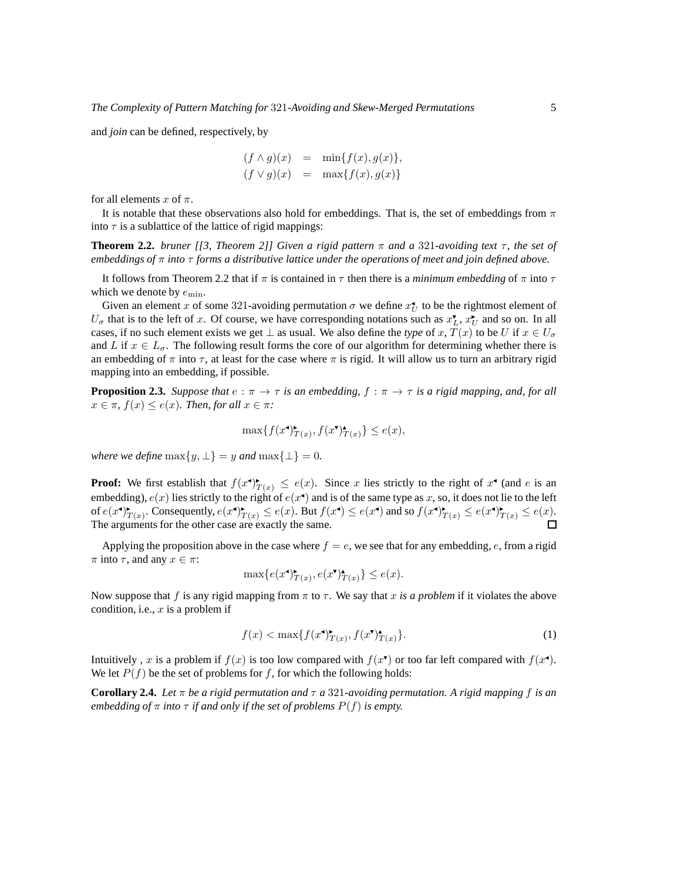and *join* can be defined, respectively, by

$$
(f \wedge g)(x) = \min\{f(x), g(x)\},
$$
  

$$
(f \vee g)(x) = \max\{f(x), g(x)\}
$$

for all elements x of  $\pi$ .

It is notable that these observations also hold for embeddings. That is, the set of embeddings from  $\pi$ into  $\tau$  is a sublattice of the lattice of rigid mappings:

**Theorem 2.2.** *bruner [[3, Theorem 2]] Given a rigid pattern* π *and a* 321*-avoiding text* τ*, the set of embeddings of* π *into* τ *forms a distributive lattice under the operations of meet and join defined above.*

It follows from Theorem 2.2 that if  $\pi$  is contained in  $\tau$  then there is a *minimum embedding* of  $\pi$  into  $\tau$ which we denote by  $e_{\min}$ .

Given an element x of some 321-avoiding permutation  $\sigma$  we define  $x_U^{\bullet}$  to be the rightmost element of  $U_{\sigma}$  that is to the left of x. Of course, we have corresponding notations such as  $x_L^{\bullet}$ ,  $x_U^{\bullet}$  and so on. In all cases, if no such element exists we get  $\perp$  as usual. We also define the *type* of x,  $T(x)$  to be U if  $x \in U_{\sigma}$ and L if  $x \in L_{\sigma}$ . The following result forms the core of our algorithm for determining whether there is an embedding of  $\pi$  into  $\tau$ , at least for the case where  $\pi$  is rigid. It will allow us to turn an arbitrary rigid mapping into an embedding, if possible.

**Proposition 2.3.** *Suppose that*  $e : \pi \to \tau$  *is an embedding,*  $f : \pi \to \tau$  *is a rigid mapping, and, for all*  $x \in \pi$ ,  $f(x) \leq e(x)$ *. Then, for all*  $x \in \pi$ *:* 

$$
\max\{f(x^{\bullet})^{\bullet}_{T(x)}, f(x^{\bullet})^{\bullet}_{T(x)}\} \le e(x),
$$

*where we define*  $\max\{y, \perp\} = y$  *and*  $\max\{\perp\} = 0$ *.* 

**Proof:** We first establish that  $f(x^{\bullet})_{T(x)}^{\bullet} \leq e(x)$ . Since x lies strictly to the right of  $x^{\bullet}$  (and e is an embedding),  $e(x)$  lies strictly to the right of  $e(x^{\bullet})$  and is of the same type as x, so, it does not lie to the left of  $e(x^{\bullet})^{\bullet}_{T(x)}$ . Consequently,  $e(x^{\bullet})^{\bullet}_{T(x)} \leq e(x)$ . But  $f(x^{\bullet}) \leq e(x^{\bullet})$  and so  $f(x^{\bullet})^{\bullet}_{T(x)} \leq e(x^{\bullet})^{\bullet}_{T(x)} \leq e(x)$ . The arguments for the other case are exactly the same.

Applying the proposition above in the case where  $f = e$ , we see that for any embedding, e, from a rigid  $\pi$  into  $\tau$ , and any  $x \in \pi$ :

$$
\max\{e(x^{\bullet})_{T(x)}^{\bullet}, e(x^{\bullet})_{T(x)}^{\bullet}\} \le e(x).
$$

Now suppose that f is any rigid mapping from  $\pi$  to  $\tau$ . We say that x is a problem if it violates the above condition, i.e.,  $x$  is a problem if

$$
f(x) < \max\{f(x^{\bullet})^{\bullet}_{T(x)}, f(x^{\bullet})^{\bullet}_{T(x)}\}.\tag{1}
$$

Intuitively, x is a problem if  $f(x)$  is too low compared with  $f(x^{\bullet})$  or too far left compared with  $f(x^{\bullet})$ . We let  $P(f)$  be the set of problems for f, for which the following holds:

**Corollary 2.4.** *Let*  $\pi$  *be a rigid permutation and*  $\tau$  *a* 321*-avoiding permutation. A rigid mapping* f *is an embedding of*  $\pi$  *into*  $\tau$  *if and only if the set of problems*  $P(f)$  *is empty.*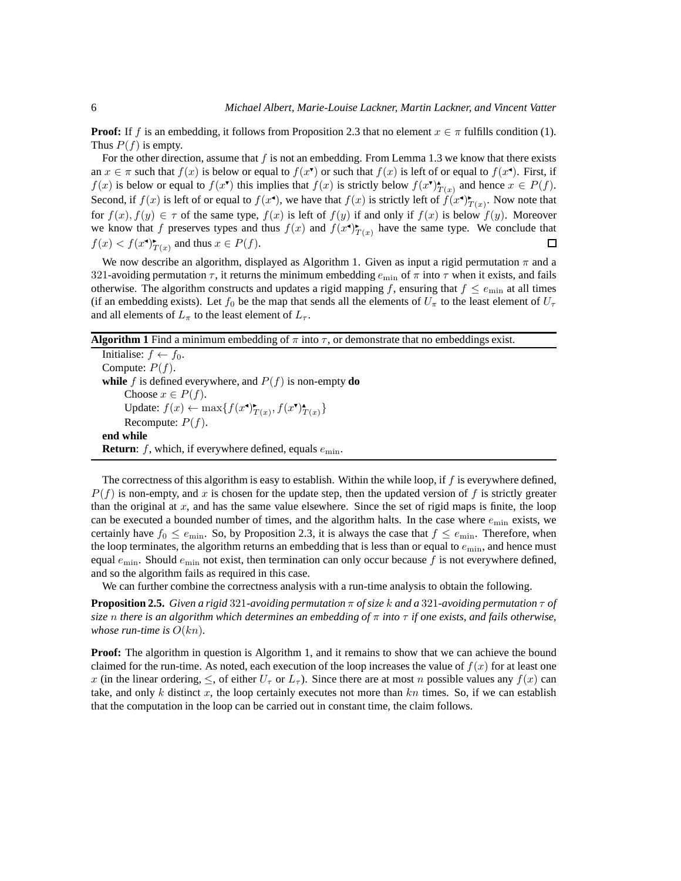**Proof:** If f is an embedding, it follows from Proposition 2.3 that no element  $x \in \pi$  fulfills condition (1). Thus  $P(f)$  is empty.

For the other direction, assume that  $f$  is not an embedding. From Lemma 1.3 we know that there exists an  $x \in \pi$  such that  $f(x)$  is below or equal to  $f(x^{\bullet})$  or such that  $f(x)$  is left of or equal to  $f(x^{\bullet})$ . First, if  $f(x)$  is below or equal to  $f(x^{\bullet})$  this implies that  $f(x)$  is strictly below  $f(x^{\bullet})^{\bullet}_{T(x)}$  and hence  $x \in P(f)$ . Second, if  $f(x)$  is left of or equal to  $f(x^{\bullet})$ , we have that  $f(x)$  is strictly left of  $f(x^{\bullet})^{\bullet}_{T(x)}$ . Now note that for  $f(x)$ ,  $f(y) \in \tau$  of the same type,  $f(x)$  is left of  $f(y)$  if and only if  $f(x)$  is below  $f(y)$ . Moreover we know that f preserves types and thus  $f(x)$  and  $f(x^{\bullet})_{T(x)}^{\bullet}$  have the same type. We conclude that  $f(x) < f(x^{\mathbf{d}})_{T(x)}^{\mathbf{b}}$  and thus  $x \in P(f)$ .  $\Box$ 

We now describe an algorithm, displayed as Algorithm 1. Given as input a rigid permutation  $\pi$  and a 321-avoiding permutation  $\tau$ , it returns the minimum embedding  $e_{\rm min}$  of  $\pi$  into  $\tau$  when it exists, and fails otherwise. The algorithm constructs and updates a rigid mapping f, ensuring that  $f \le e_{\min}$  at all times (if an embedding exists). Let  $f_0$  be the map that sends all the elements of  $U_\tau$  to the least element of  $U_\tau$ and all elements of  $L_{\pi}$  to the least element of  $L_{\tau}$ .

**Algorithm 1** Find a minimum embedding of  $\pi$  into  $\tau$ , or demonstrate that no embeddings exist.

Initialise:  $f \leftarrow f_0$ . Compute:  $P(f)$ . **while** f is defined everywhere, and  $P(f)$  is non-empty **do** Choose  $x \in P(f)$ . Update:  $f(x) \leftarrow \max\{f(x^{\bullet})^{\bullet}_{T(x)}, f(x^{\bullet})^{\bullet}_{T(x)}\}$ Recompute:  $P(f)$ . **end while Return**:  $f$ , which, if everywhere defined, equals  $e_{\min}$ .

The correctness of this algorithm is easy to establish. Within the while loop, if  $f$  is everywhere defined,  $P(f)$  is non-empty, and x is chosen for the update step, then the updated version of f is strictly greater than the original at  $x$ , and has the same value elsewhere. Since the set of rigid maps is finite, the loop can be executed a bounded number of times, and the algorithm halts. In the case where  $e_{\min}$  exists, we certainly have  $f_0 \le e_{\min}$ . So, by Proposition 2.3, it is always the case that  $f \le e_{\min}$ . Therefore, when the loop terminates, the algorithm returns an embedding that is less than or equal to  $e_{\text{min}}$ , and hence must equal  $e_{\text{min}}$ . Should  $e_{\text{min}}$  not exist, then termination can only occur because f is not everywhere defined, and so the algorithm fails as required in this case.

We can further combine the correctness analysis with a run-time analysis to obtain the following.

**Proposition 2.5.** *Given a rigid* 321*-avoiding permutation* π *of size* k *and a* 321*-avoiding permutation* τ *of size* n *there is an algorithm which determines an embedding of* π *into* τ *if one exists, and fails otherwise, whose run-time is*  $O(kn)$ .

**Proof:** The algorithm in question is Algorithm 1, and it remains to show that we can achieve the bound claimed for the run-time. As noted, each execution of the loop increases the value of  $f(x)$  for at least one x (in the linear ordering,  $\leq$ , of either  $U_{\tau}$  or  $L_{\tau}$ ). Since there are at most n possible values any  $f(x)$  can take, and only k distinct x, the loop certainly executes not more than  $kn$  times. So, if we can establish that the computation in the loop can be carried out in constant time, the claim follows.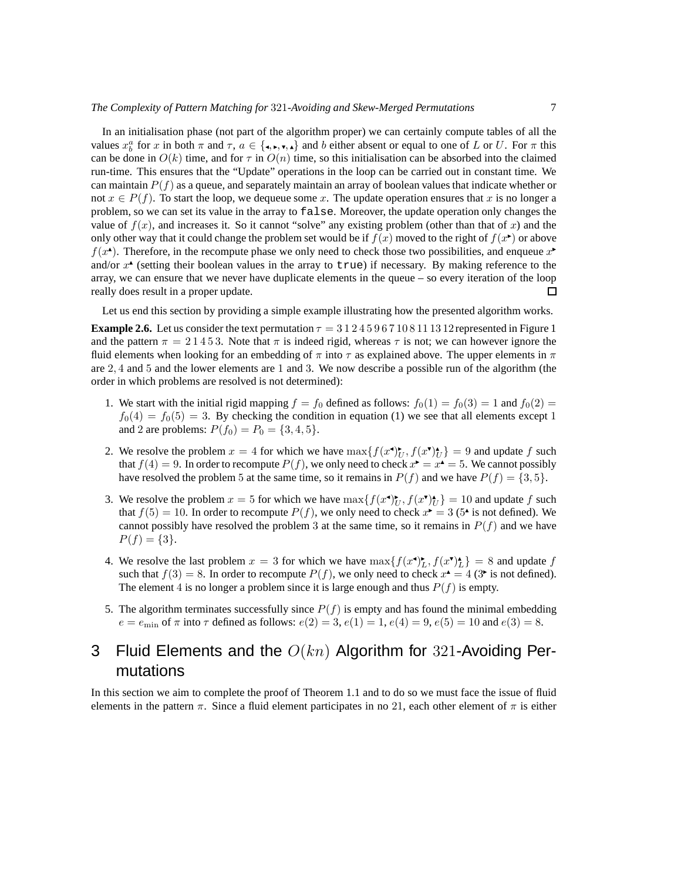In an initialisation phase (not part of the algorithm proper) we can certainly compute tables of all the values  $x_b^a$  for x in both  $\pi$  and  $\tau$ ,  $a \in \{\text{I}, \text{I}, \text{I}, \text{I}\}$  and b either absent or equal to one of L or U. For  $\pi$  this can be done in  $O(k)$  time, and for  $\tau$  in  $O(n)$  time, so this initialisation can be absorbed into the claimed run-time. This ensures that the "Update" operations in the loop can be carried out in constant time. We can maintain  $P(f)$  as a queue, and separately maintain an array of boolean values that indicate whether or not  $x \in P(f)$ . To start the loop, we dequeue some x. The update operation ensures that x is no longer a problem, so we can set its value in the array to false. Moreover, the update operation only changes the value of  $f(x)$ , and increases it. So it cannot "solve" any existing problem (other than that of x) and the only other way that it could change the problem set would be if  $f(x)$  moved to the right of  $f(x^{\bullet})$  or above  $f(x^{\bullet})$ . Therefore, in the recompute phase we only need to check those two possibilities, and enqueue  $x^{\bullet}$ and/or  $x^*$  (setting their boolean values in the array to true) if necessary. By making reference to the array, we can ensure that we never have duplicate elements in the queue – so every iteration of the loop really does result in a proper update.  $\square$ 

Let us end this section by providing a simple example illustrating how the presented algorithm works.

**Example 2.6.** Let us consider the text permutation  $\tau = 31245967108111312$  represented in Figure 1 and the pattern  $\pi = 21453$ . Note that  $\pi$  is indeed rigid, whereas  $\tau$  is not; we can however ignore the fluid elements when looking for an embedding of  $\pi$  into  $\tau$  as explained above. The upper elements in  $\pi$ are 2, 4 and 5 and the lower elements are 1 and 3. We now describe a possible run of the algorithm (the order in which problems are resolved is not determined):

- 1. We start with the initial rigid mapping  $f = f_0$  defined as follows:  $f_0(1) = f_0(3) = 1$  and  $f_0(2) =$  $f_0(4) = f_0(5) = 3$ . By checking the condition in equation (1) we see that all elements except 1 and 2 are problems:  $P(f_0) = P_0 = \{3, 4, 5\}.$
- 2. We resolve the problem  $x = 4$  for which we have  $\max\{f(x^{\bullet})^*_{U}, f(x^{\bullet})^*_{U}\}=9$  and update f such that  $f(4) = 9$ . In order to recompute  $P(f)$ , we only need to check  $x^* = x^* = 5$ . We cannot possibly have resolved the problem 5 at the same time, so it remains in  $P(f)$  and we have  $P(f) = \{3, 5\}.$
- 3. We resolve the problem  $x = 5$  for which we have  $\max\{f(x^{\bullet})_U^*, f(x^{\bullet})_U^*\} = 10$  and update f such that  $f(5) = 10$ . In order to recompute  $P(f)$ , we only need to check  $x^* = 3$  (5<sup>\*</sup> is not defined). We cannot possibly have resolved the problem 3 at the same time, so it remains in  $P(f)$  and we have  $P(f) = \{3\}.$
- 4. We resolve the last problem  $x = 3$  for which we have  $\max\{f(x^{\bullet})_L^{\bullet}, f(x^{\bullet})_L^{\bullet}\} = 8$  and update f such that  $f(3) = 8$ . In order to recompute  $P(f)$ , we only need to check  $x^4 = 4$  (3<sup>\*</sup> is not defined). The element 4 is no longer a problem since it is large enough and thus  $P(f)$  is empty.
- 5. The algorithm terminates successfully since  $P(f)$  is empty and has found the minimal embedding  $e = e_{\min}$  of  $\pi$  into  $\tau$  defined as follows:  $e(2) = 3$ ,  $e(1) = 1$ ,  $e(4) = 9$ ,  $e(5) = 10$  and  $e(3) = 8$ .

# 3 Fluid Elements and the  $O(kn)$  Algorithm for 321-Avoiding Permutations

In this section we aim to complete the proof of Theorem 1.1 and to do so we must face the issue of fluid elements in the pattern  $\pi$ . Since a fluid element participates in no 21, each other element of  $\pi$  is either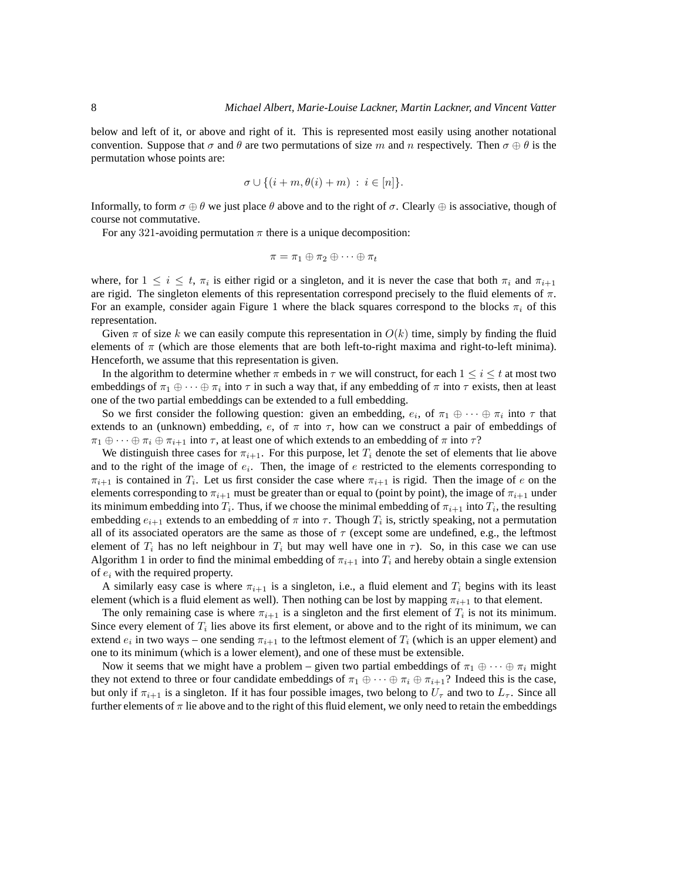below and left of it, or above and right of it. This is represented most easily using another notational convention. Suppose that  $\sigma$  and  $\theta$  are two permutations of size m and n respectively. Then  $\sigma \oplus \theta$  is the permutation whose points are:

$$
\sigma \cup \{(i+m,\theta(i)+m)\;:\; i \in [n]\}.
$$

Informally, to form  $\sigma \oplus \theta$  we just place  $\theta$  above and to the right of  $\sigma$ . Clearly  $\oplus$  is associative, though of course not commutative.

For any 321-avoiding permutation  $\pi$  there is a unique decomposition:

$$
\pi = \pi_1 \oplus \pi_2 \oplus \cdots \oplus \pi_t
$$

where, for  $1 \leq i \leq t$ ,  $\pi_i$  is either rigid or a singleton, and it is never the case that both  $\pi_i$  and  $\pi_{i+1}$ are rigid. The singleton elements of this representation correspond precisely to the fluid elements of  $\pi$ . For an example, consider again Figure 1 where the black squares correspond to the blocks  $\pi_i$  of this representation.

Given  $\pi$  of size k we can easily compute this representation in  $O(k)$  time, simply by finding the fluid elements of  $\pi$  (which are those elements that are both left-to-right maxima and right-to-left minima). Henceforth, we assume that this representation is given.

In the algorithm to determine whether  $\pi$  embeds in  $\tau$  we will construct, for each  $1 \leq i \leq t$  at most two embeddings of  $\pi_1 \oplus \cdots \oplus \pi_i$  into  $\tau$  in such a way that, if any embedding of  $\pi$  into  $\tau$  exists, then at least one of the two partial embeddings can be extended to a full embedding.

So we first consider the following question: given an embedding,  $e_i$ , of  $\pi_1 \oplus \cdots \oplus \pi_i$  into  $\tau$  that extends to an (unknown) embedding, e, of  $\pi$  into  $\tau$ , how can we construct a pair of embeddings of  $\pi_1 \oplus \cdots \oplus \pi_i \oplus \pi_{i+1}$  into  $\tau$ , at least one of which extends to an embedding of  $\pi$  into  $\tau$ ?

We distinguish three cases for  $\pi_{i+1}$ . For this purpose, let  $T_i$  denote the set of elements that lie above and to the right of the image of  $e_i$ . Then, the image of  $e$  restricted to the elements corresponding to  $\pi_{i+1}$  is contained in  $T_i$ . Let us first consider the case where  $\pi_{i+1}$  is rigid. Then the image of e on the elements corresponding to  $\pi_{i+1}$  must be greater than or equal to (point by point), the image of  $\pi_{i+1}$  under its minimum embedding into  $T_i$ . Thus, if we choose the minimal embedding of  $\pi_{i+1}$  into  $T_i$ , the resulting embedding  $e_{i+1}$  extends to an embedding of  $\pi$  into  $\tau$ . Though  $T_i$  is, strictly speaking, not a permutation all of its associated operators are the same as those of  $\tau$  (except some are undefined, e.g., the leftmost element of  $T_i$  has no left neighbour in  $T_i$  but may well have one in  $\tau$ ). So, in this case we can use Algorithm 1 in order to find the minimal embedding of  $\pi_{i+1}$  into  $T_i$  and hereby obtain a single extension of  $e_i$  with the required property.

A similarly easy case is where  $\pi_{i+1}$  is a singleton, i.e., a fluid element and  $T_i$  begins with its least element (which is a fluid element as well). Then nothing can be lost by mapping  $\pi_{i+1}$  to that element.

The only remaining case is where  $\pi_{i+1}$  is a singleton and the first element of  $T_i$  is not its minimum. Since every element of  $T_i$  lies above its first element, or above and to the right of its minimum, we can extend  $e_i$  in two ways – one sending  $\pi_{i+1}$  to the leftmost element of  $T_i$  (which is an upper element) and one to its minimum (which is a lower element), and one of these must be extensible.

Now it seems that we might have a problem – given two partial embeddings of  $\pi_1 \oplus \cdots \oplus \pi_i$  might they not extend to three or four candidate embeddings of  $\pi_1 \oplus \cdots \oplus \pi_i \oplus \pi_{i+1}$ ? Indeed this is the case, but only if  $\pi_{i+1}$  is a singleton. If it has four possible images, two belong to  $U_{\tau}$  and two to  $L_{\tau}$ . Since all further elements of  $\pi$  lie above and to the right of this fluid element, we only need to retain the embeddings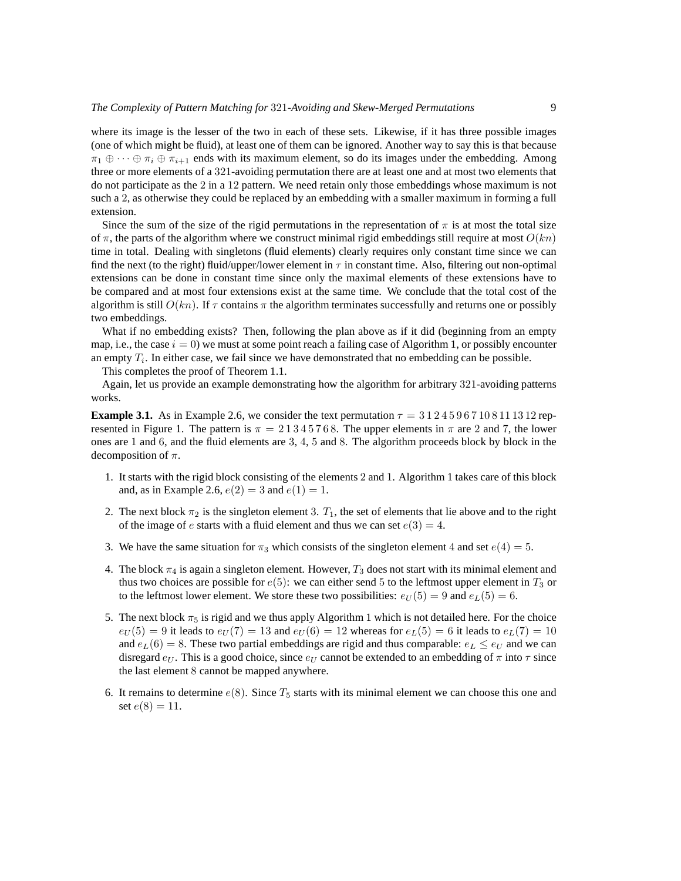where its image is the lesser of the two in each of these sets. Likewise, if it has three possible images (one of which might be fluid), at least one of them can be ignored. Another way to say this is that because  $\pi_1 \oplus \cdots \oplus \pi_i \oplus \pi_{i+1}$  ends with its maximum element, so do its images under the embedding. Among three or more elements of a 321-avoiding permutation there are at least one and at most two elements that do not participate as the 2 in a 12 pattern. We need retain only those embeddings whose maximum is not such a 2, as otherwise they could be replaced by an embedding with a smaller maximum in forming a full extension.

Since the sum of the size of the rigid permutations in the representation of  $\pi$  is at most the total size of  $\pi$ , the parts of the algorithm where we construct minimal rigid embeddings still require at most  $O(kn)$ time in total. Dealing with singletons (fluid elements) clearly requires only constant time since we can find the next (to the right) fluid/upper/lower element in  $\tau$  in constant time. Also, filtering out non-optimal extensions can be done in constant time since only the maximal elements of these extensions have to be compared and at most four extensions exist at the same time. We conclude that the total cost of the algorithm is still  $O(kn)$ . If  $\tau$  contains  $\pi$  the algorithm terminates successfully and returns one or possibly two embeddings.

What if no embedding exists? Then, following the plan above as if it did (beginning from an empty map, i.e., the case  $i = 0$ ) we must at some point reach a failing case of Algorithm 1, or possibly encounter an empty  $T_i$ . In either case, we fail since we have demonstrated that no embedding can be possible.

This completes the proof of Theorem 1.1.

Again, let us provide an example demonstrating how the algorithm for arbitrary 321-avoiding patterns works.

**Example 3.1.** As in Example 2.6, we consider the text permutation  $\tau = 31245967108111312$  represented in Figure 1. The pattern is  $\pi = 21345768$ . The upper elements in  $\pi$  are 2 and 7, the lower ones are 1 and 6, and the fluid elements are 3, 4, 5 and 8. The algorithm proceeds block by block in the decomposition of  $\pi$ .

- 1. It starts with the rigid block consisting of the elements 2 and 1. Algorithm 1 takes care of this block and, as in Example 2.6,  $e(2) = 3$  and  $e(1) = 1$ .
- 2. The next block  $\pi_2$  is the singleton element 3.  $T_1$ , the set of elements that lie above and to the right of the image of e starts with a fluid element and thus we can set  $e(3) = 4$ .
- 3. We have the same situation for  $\pi_3$  which consists of the singleton element 4 and set  $e(4) = 5$ .
- 4. The block  $\pi_4$  is again a singleton element. However,  $T_3$  does not start with its minimal element and thus two choices are possible for  $e(5)$ : we can either send 5 to the leftmost upper element in  $T_3$  or to the leftmost lower element. We store these two possibilities:  $e_U(5) = 9$  and  $e_L(5) = 6$ .
- 5. The next block  $\pi_5$  is rigid and we thus apply Algorithm 1 which is not detailed here. For the choice  $e_U(5) = 9$  it leads to  $e_U(7) = 13$  and  $e_U(6) = 12$  whereas for  $e_L(5) = 6$  it leads to  $e_L(7) = 10$ and  $e_L(6) = 8$ . These two partial embeddings are rigid and thus comparable:  $e_L \leq e_U$  and we can disregard  $e_U$ . This is a good choice, since  $e_U$  cannot be extended to an embedding of  $\pi$  into  $\tau$  since the last element 8 cannot be mapped anywhere.
- 6. It remains to determine  $e(8)$ . Since  $T_5$  starts with its minimal element we can choose this one and set  $e(8) = 11$ .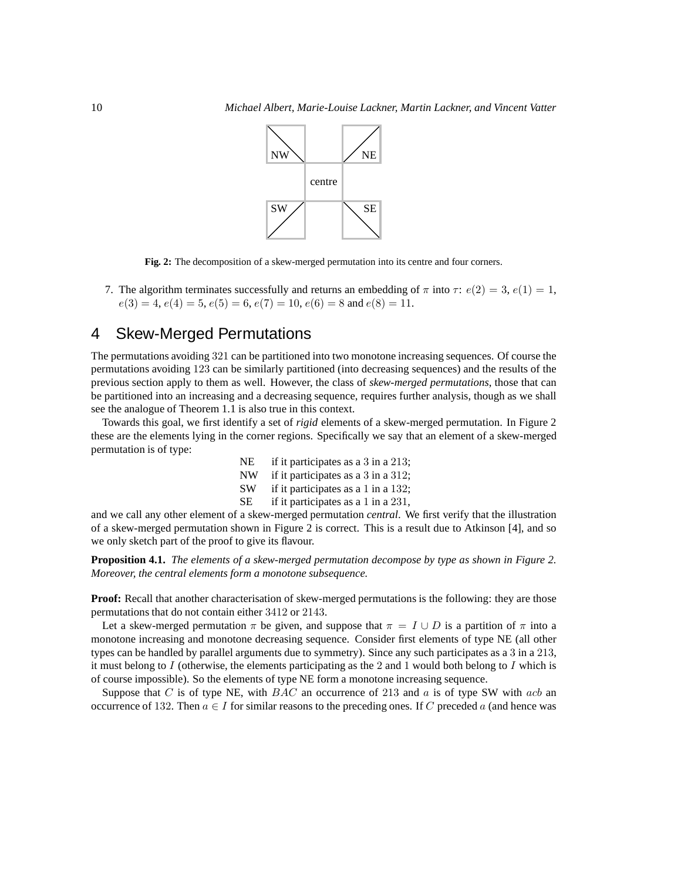

**Fig. 2:** The decomposition of a skew-merged permutation into its centre and four corners.

7. The algorithm terminates successfully and returns an embedding of  $\pi$  into  $\tau$ :  $e(2) = 3$ ,  $e(1) = 1$ ,  $e(3) = 4, e(4) = 5, e(5) = 6, e(7) = 10, e(6) = 8$  and  $e(8) = 11$ .

### 4 Skew-Merged Permutations

The permutations avoiding 321 can be partitioned into two monotone increasing sequences. Of course the permutations avoiding 123 can be similarly partitioned (into decreasing sequences) and the results of the previous section apply to them as well. However, the class of *skew-merged permutations*, those that can be partitioned into an increasing and a decreasing sequence, requires further analysis, though as we shall see the analogue of Theorem 1.1 is also true in this context.

Towards this goal, we first identify a set of *rigid* elements of a skew-merged permutation. In Figure 2 these are the elements lying in the corner regions. Specifically we say that an element of a skew-merged permutation is of type:

> NE if it participates as a 3 in a 213; NW if it participates as a 3 in a 312; SW if it participates as a 1 in a 132; SE if it participates as a 1 in a 231,

and we call any other element of a skew-merged permutation *central*. We first verify that the illustration of a skew-merged permutation shown in Figure 2 is correct. This is a result due to Atkinson [4], and so we only sketch part of the proof to give its flavour.

**Proposition 4.1.** *The elements of a skew-merged permutation decompose by type as shown in Figure 2. Moreover, the central elements form a monotone subsequence.*

**Proof:** Recall that another characterisation of skew-merged permutations is the following: they are those permutations that do not contain either 3412 or 2143.

Let a skew-merged permutation  $\pi$  be given, and suppose that  $\pi = I \cup D$  is a partition of  $\pi$  into a monotone increasing and monotone decreasing sequence. Consider first elements of type NE (all other types can be handled by parallel arguments due to symmetry). Since any such participates as a 3 in a 213, it must belong to  $I$  (otherwise, the elements participating as the 2 and 1 would both belong to  $I$  which is of course impossible). So the elements of type NE form a monotone increasing sequence.

Suppose that C is of type NE, with  $BAC$  an occurrence of 213 and a is of type SW with acb an occurrence of 132. Then  $a \in I$  for similar reasons to the preceding ones. If C preceded a (and hence was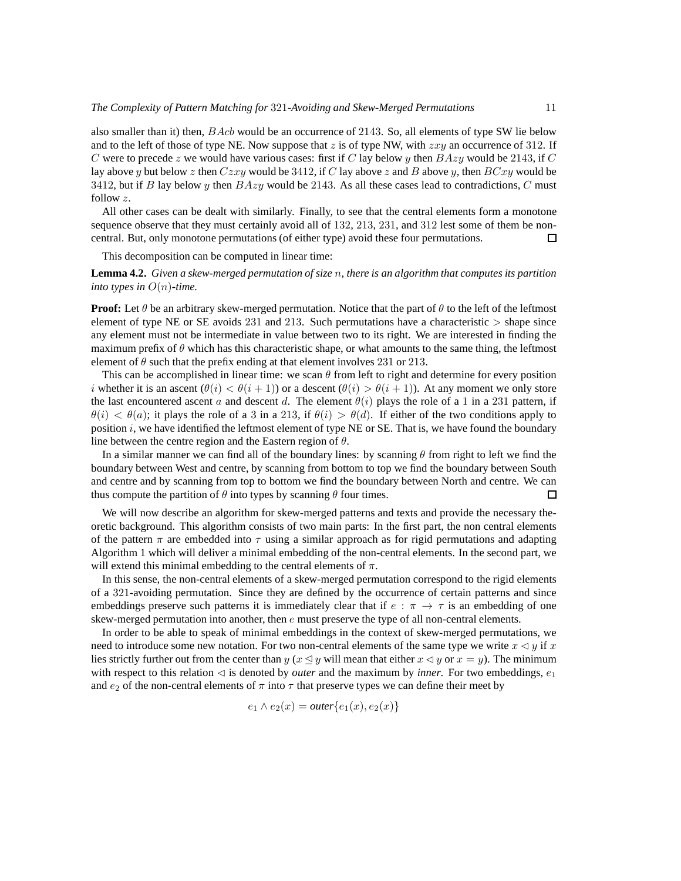also smaller than it) then,  $BAcb$  would be an occurrence of 2143. So, all elements of type SW lie below and to the left of those of type NE. Now suppose that z is of type NW, with  $zxy$  an occurrence of 312. If C were to precede z we would have various cases: first if C lay below y then  $BAzy$  would be 2143, if C lay above y but below z then  $Czxy$  would be 3412, if C lay above z and B above y, then  $BCxy$  would be 3412, but if B lay below y then  $BAzy$  would be 2143. As all these cases lead to contradictions, C must follow z.

All other cases can be dealt with similarly. Finally, to see that the central elements form a monotone sequence observe that they must certainly avoid all of 132, 213, 231, and 312 lest some of them be noncentral. But, only monotone permutations (of either type) avoid these four permutations.  $\square$ 

This decomposition can be computed in linear time:

**Lemma 4.2.** *Given a skew-merged permutation of size* n*, there is an algorithm that computes its partition into types in*  $O(n)$ -time.

**Proof:** Let  $\theta$  be an arbitrary skew-merged permutation. Notice that the part of  $\theta$  to the left of the leftmost element of type NE or SE avoids  $231$  and  $213$ . Such permutations have a characteristic  $>$  shape since any element must not be intermediate in value between two to its right. We are interested in finding the maximum prefix of  $\theta$  which has this characteristic shape, or what amounts to the same thing, the leftmost element of  $\theta$  such that the prefix ending at that element involves 231 or 213.

This can be accomplished in linear time: we scan  $\theta$  from left to right and determine for every position i whether it is an ascent  $(\theta(i) < \theta(i+1))$  or a descent  $(\theta(i) > \theta(i+1))$ . At any moment we only store the last encountered ascent a and descent d. The element  $\theta(i)$  plays the role of a 1 in a 231 pattern, if  $\theta(i) < \theta(a)$ ; it plays the role of a 3 in a 213, if  $\theta(i) > \theta(d)$ . If either of the two conditions apply to position  $i$ , we have identified the leftmost element of type NE or SE. That is, we have found the boundary line between the centre region and the Eastern region of  $\theta$ .

In a similar manner we can find all of the boundary lines: by scanning  $\theta$  from right to left we find the boundary between West and centre, by scanning from bottom to top we find the boundary between South and centre and by scanning from top to bottom we find the boundary between North and centre. We can thus compute the partition of  $\theta$  into types by scanning  $\theta$  four times.  $\Box$ 

We will now describe an algorithm for skew-merged patterns and texts and provide the necessary theoretic background. This algorithm consists of two main parts: In the first part, the non central elements of the pattern  $\pi$  are embedded into  $\tau$  using a similar approach as for rigid permutations and adapting Algorithm 1 which will deliver a minimal embedding of the non-central elements. In the second part, we will extend this minimal embedding to the central elements of  $\pi$ .

In this sense, the non-central elements of a skew-merged permutation correspond to the rigid elements of a 321-avoiding permutation. Since they are defined by the occurrence of certain patterns and since embeddings preserve such patterns it is immediately clear that if  $e : \pi \to \tau$  is an embedding of one skew-merged permutation into another, then  $e$  must preserve the type of all non-central elements.

In order to be able to speak of minimal embeddings in the context of skew-merged permutations, we need to introduce some new notation. For two non-central elements of the same type we write  $x \le y$  if x lies strictly further out from the center than y ( $x \le y$  will mean that either  $x \le y$  or  $x = y$ ). The minimum with respect to this relation  $\triangleleft$  is denoted by *outer* and the maximum by *inner*. For two embeddings,  $e_1$ and  $e_2$  of the non-central elements of  $\pi$  into  $\tau$  that preserve types we can define their meet by

$$
e_1 \wedge e_2(x) = outer\{e_1(x), e_2(x)\}\
$$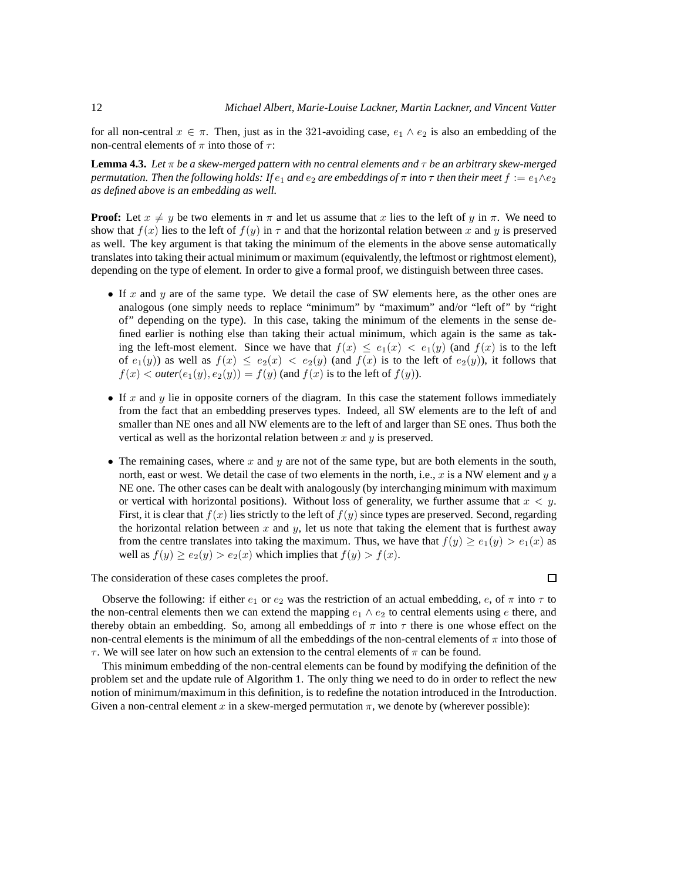for all non-central  $x \in \pi$ . Then, just as in the 321-avoiding case,  $e_1 \wedge e_2$  is also an embedding of the non-central elements of  $\pi$  into those of  $\tau$ :

**Lemma 4.3.** *Let* π *be a skew-merged pattern with no central elements and* τ *be an arbitrary skew-merged permutation. Then the following holds: If*  $e_1$  *and*  $e_2$  *are embeddings of*  $\pi$  *into*  $\tau$  *then their meet*  $f := e_1 \wedge e_2$ *as defined above is an embedding as well.*

**Proof:** Let  $x \neq y$  be two elements in  $\pi$  and let us assume that x lies to the left of y in  $\pi$ . We need to show that  $f(x)$  lies to the left of  $f(y)$  in  $\tau$  and that the horizontal relation between x and y is preserved as well. The key argument is that taking the minimum of the elements in the above sense automatically translates into taking their actual minimum or maximum (equivalently, the leftmost or rightmost element), depending on the type of element. In order to give a formal proof, we distinguish between three cases.

- If  $x$  and  $y$  are of the same type. We detail the case of SW elements here, as the other ones are analogous (one simply needs to replace "minimum" by "maximum" and/or "left of" by "right of" depending on the type). In this case, taking the minimum of the elements in the sense defined earlier is nothing else than taking their actual minimum, which again is the same as taking the left-most element. Since we have that  $f(x) \le e_1(x) < e_1(y)$  (and  $f(x)$  is to the left of  $e_1(y)$  as well as  $f(x) \le e_2(x) < e_2(y)$  (and  $f(x)$  is to the left of  $e_2(y)$ ), it follows that  $f(x) < outer(e_1(y), e_2(y)) = f(y)$  (and  $f(x)$  is to the left of  $f(y)$ ).
- If x and y lie in opposite corners of the diagram. In this case the statement follows immediately from the fact that an embedding preserves types. Indeed, all SW elements are to the left of and smaller than NE ones and all NW elements are to the left of and larger than SE ones. Thus both the vertical as well as the horizontal relation between  $x$  and  $y$  is preserved.
- The remaining cases, where x and y are not of the same type, but are both elements in the south, north, east or west. We detail the case of two elements in the north, i.e.,  $x$  is a NW element and  $y$  a NE one. The other cases can be dealt with analogously (by interchanging minimum with maximum or vertical with horizontal positions). Without loss of generality, we further assume that  $x < y$ . First, it is clear that  $f(x)$  lies strictly to the left of  $f(y)$  since types are preserved. Second, regarding the horizontal relation between x and y, let us note that taking the element that is furthest away from the centre translates into taking the maximum. Thus, we have that  $f(y) \ge e_1(y) > e_1(x)$  as well as  $f(y) \ge e_2(y) > e_2(x)$  which implies that  $f(y) > f(x)$ .

The consideration of these cases completes the proof.

 $\Box$ 

Observe the following: if either  $e_1$  or  $e_2$  was the restriction of an actual embedding,  $e$ , of  $\pi$  into  $\tau$  to the non-central elements then we can extend the mapping  $e_1 \wedge e_2$  to central elements using e there, and thereby obtain an embedding. So, among all embeddings of  $\pi$  into  $\tau$  there is one whose effect on the non-central elements is the minimum of all the embeddings of the non-central elements of  $\pi$  into those of  $\tau$ . We will see later on how such an extension to the central elements of  $\pi$  can be found.

This minimum embedding of the non-central elements can be found by modifying the definition of the problem set and the update rule of Algorithm 1. The only thing we need to do in order to reflect the new notion of minimum/maximum in this definition, is to redefine the notation introduced in the Introduction. Given a non-central element x in a skew-merged permutation  $\pi$ , we denote by (wherever possible):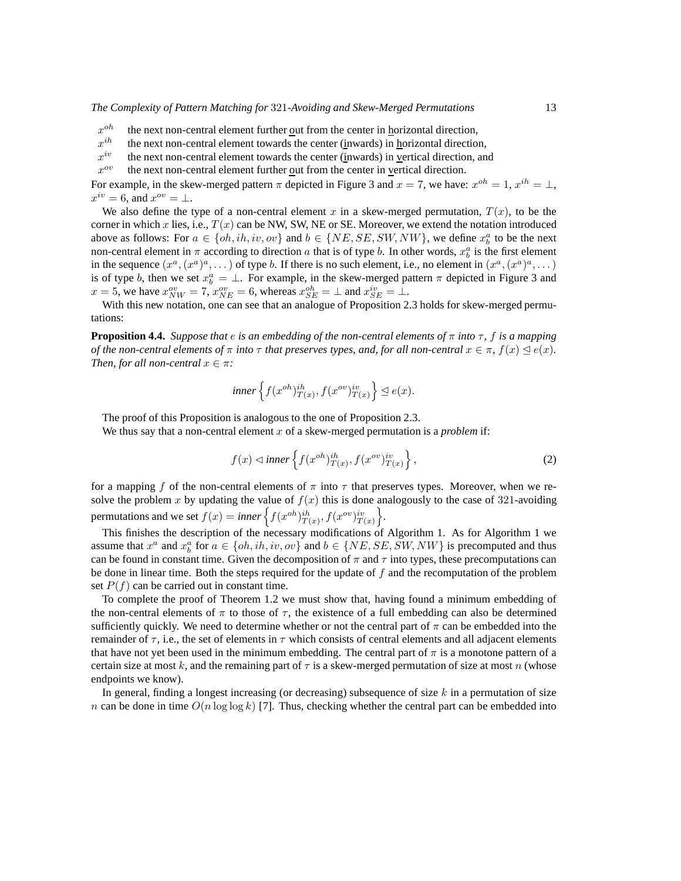- $x^{oh}$ the next non-central element further out from the center in horizontal direction,
- $x^{ih}$ the next non-central element towards the center (inwards) in horizontal direction,
- $x^{iv}$ the next non-central element towards the center (inwards) in vertical direction, and
- $x^{\sigma v}$ the next non-central element further out from the center in vertical direction.

For example, in the skew-merged pattern  $\pi$  depicted in Figure 3 and  $x = 7$ , we have:  $x^{oh} = 1$ ,  $x^{ih} = \perp$ ,  $x^{iv} = 6$ , and  $x^{ov} = \perp$ .

We also define the type of a non-central element x in a skew-merged permutation,  $T(x)$ , to be the corner in which x lies, i.e.,  $T(x)$  can be NW, SW, NE or SE. Moreover, we extend the notation introduced above as follows: For  $a \in \{oh, ih, iv, ov\}$  and  $b \in \{NE, SE, SW, NW\}$ , we define  $x_b^a$  to be the next non-central element in  $\pi$  according to direction a that is of type b. In other words,  $x_b^a$  is the first element in the sequence  $(x^a, (x^a)^a, \dots)$  of type b. If there is no such element, i.e., no element in  $(x^a, (x^a)^a, \dots)$ is of type b, then we set  $x_b^a = \perp$ . For example, in the skew-merged pattern  $\pi$  depicted in Figure 3 and  $x = 5$ , we have  $x_{NW}^{ov} = 7$ ,  $x_{NE}^{ov} = 6$ , whereas  $x_{SE}^{oh} = \perp$  and  $x_{SE}^{iv} = \perp$ .

With this new notation, one can see that an analogue of Proposition 2.3 holds for skew-merged permutations:

**Proposition 4.4.** *Suppose that*  $e$  *is an embedding of the non-central elements of*  $\pi$  *into*  $\tau$ *,*  $f$  *is a mapping of the non-central elements of*  $\pi$  *into*  $\tau$  *that preserves types, and, for all non-central*  $x \in \pi$ *,*  $f(x) \leq e(x)$ *. Then, for all non-central*  $x \in \pi$ *:* 

inner 
$$
\left\{ f(x^{oh})_{T(x)}^{ih}, f(x^{ov})_{T(x)}^{iv} \right\} \trianglelefteq e(x).
$$

The proof of this Proposition is analogous to the one of Proposition 2.3.

We thus say that a non-central element x of a skew-merged permutation is a *problem* if:

$$
f(x) \lhd inner\left\{f(x^{oh})_{T(x)}^{ih}, f(x^{ov})_{T(x)}^{iv}\right\},\tag{2}
$$

for a mapping f of the non-central elements of  $\pi$  into  $\tau$  that preserves types. Moreover, when we resolve the problem x by updating the value of  $f(x)$  this is done analogously to the case of 321-avoiding permutations and we set  $f(x) = inner \left\{ f(x^{oh})_{T(x)}^{ih}, f(x^{ov})_{T(x)}^{iv} \right\}.$ 

This finishes the description of the necessary modifications of Algorithm 1. As for Algorithm 1 we assume that  $x^a$  and  $x^a_b$  for  $a \in \{oh, ih, iv, ov\}$  and  $b \in \{NE, SE, SW, NW\}$  is precomputed and thus can be found in constant time. Given the decomposition of  $\pi$  and  $\tau$  into types, these precomputations can be done in linear time. Both the steps required for the update of  $f$  and the recomputation of the problem set  $P(f)$  can be carried out in constant time.

To complete the proof of Theorem 1.2 we must show that, having found a minimum embedding of the non-central elements of  $\pi$  to those of  $\tau$ , the existence of a full embedding can also be determined sufficiently quickly. We need to determine whether or not the central part of  $\pi$  can be embedded into the remainder of  $\tau$ , i.e., the set of elements in  $\tau$  which consists of central elements and all adjacent elements that have not yet been used in the minimum embedding. The central part of  $\pi$  is a monotone pattern of a certain size at most k, and the remaining part of  $\tau$  is a skew-merged permutation of size at most n (whose endpoints we know).

In general, finding a longest increasing (or decreasing) subsequence of size  $k$  in a permutation of size n can be done in time  $O(n \log \log k)$  [7]. Thus, checking whether the central part can be embedded into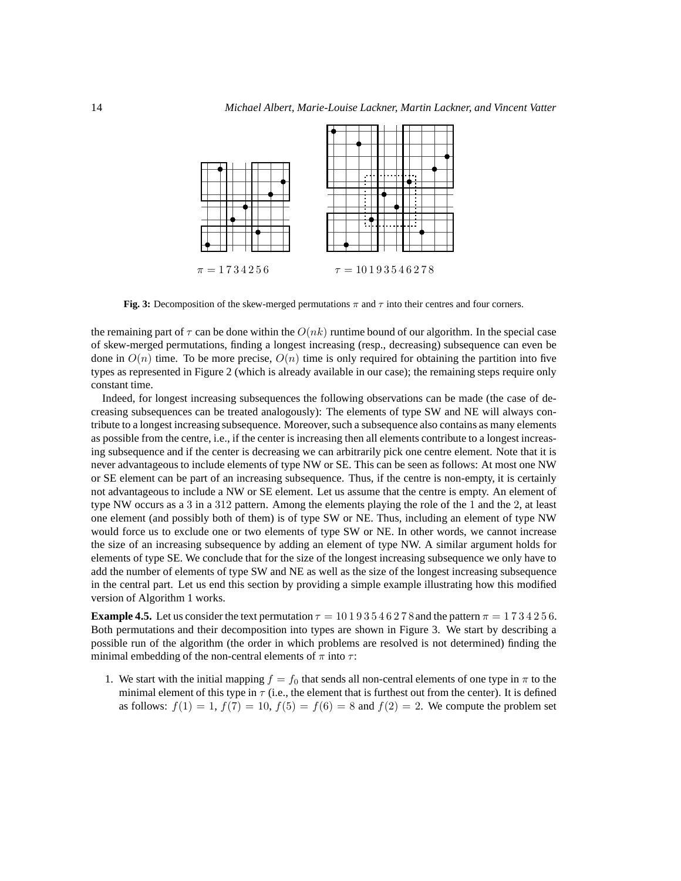

**Fig. 3:** Decomposition of the skew-merged permutations  $\pi$  and  $\tau$  into their centres and four corners.

the remaining part of  $\tau$  can be done within the  $O(nk)$  runtime bound of our algorithm. In the special case of skew-merged permutations, finding a longest increasing (resp., decreasing) subsequence can even be done in  $O(n)$  time. To be more precise,  $O(n)$  time is only required for obtaining the partition into five types as represented in Figure 2 (which is already available in our case); the remaining steps require only constant time.

Indeed, for longest increasing subsequences the following observations can be made (the case of decreasing subsequences can be treated analogously): The elements of type SW and NE will always contribute to a longest increasing subsequence. Moreover, such a subsequence also contains as many elements as possible from the centre, i.e., if the center is increasing then all elements contribute to a longest increasing subsequence and if the center is decreasing we can arbitrarily pick one centre element. Note that it is never advantageous to include elements of type NW or SE. This can be seen as follows: At most one NW or SE element can be part of an increasing subsequence. Thus, if the centre is non-empty, it is certainly not advantageous to include a NW or SE element. Let us assume that the centre is empty. An element of type NW occurs as a 3 in a 312 pattern. Among the elements playing the role of the 1 and the 2, at least one element (and possibly both of them) is of type SW or NE. Thus, including an element of type NW would force us to exclude one or two elements of type SW or NE. In other words, we cannot increase the size of an increasing subsequence by adding an element of type NW. A similar argument holds for elements of type SE. We conclude that for the size of the longest increasing subsequence we only have to add the number of elements of type SW and NE as well as the size of the longest increasing subsequence in the central part. Let us end this section by providing a simple example illustrating how this modified version of Algorithm 1 works.

**Example 4.5.** Let us consider the text permutation  $\tau = 10193546278$  and the pattern  $\pi = 1734256$ . Both permutations and their decomposition into types are shown in Figure 3. We start by describing a possible run of the algorithm (the order in which problems are resolved is not determined) finding the minimal embedding of the non-central elements of  $\pi$  into  $\tau$ :

1. We start with the initial mapping  $f = f_0$  that sends all non-central elements of one type in  $\pi$  to the minimal element of this type in  $\tau$  (i.e., the element that is furthest out from the center). It is defined as follows:  $f(1) = 1$ ,  $f(7) = 10$ ,  $f(5) = f(6) = 8$  and  $f(2) = 2$ . We compute the problem set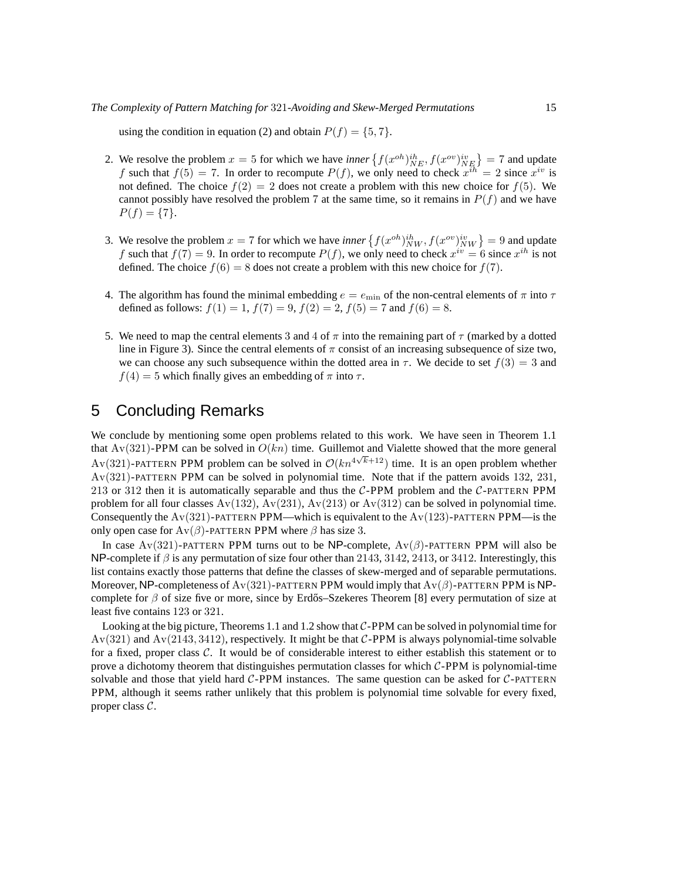using the condition in equation (2) and obtain  $P(f) = \{5, 7\}.$ 

- 2. We resolve the problem  $x = 5$  for which we have *inner*  $\left\{ f(x^{oh})_{NE}^{ih}, f(x^{ov})_{NE}^{iv} \right\} = 7$  and update f such that  $f(5) = 7$ . In order to recompute  $P(f)$ , we only need to check  $x^{ih} = 2$  since  $x^{iv}$  is not defined. The choice  $f(2) = 2$  does not create a problem with this new choice for  $f(5)$ . We cannot possibly have resolved the problem 7 at the same time, so it remains in  $P(f)$  and we have  $P(f) = \{7\}.$
- 3. We resolve the problem  $x = 7$  for which we have *inner*  $\{f(x^{oh})_{NW}^{ih}, f(x^{ov})_{NW}^{iv}\} = 9$  and update f such that  $f(7) = 9$ . In order to recompute  $P(f)$ , we only need to check  $x^{iv} = 6$  since  $x^{ih}$  is not defined. The choice  $f(6) = 8$  does not create a problem with this new choice for  $f(7)$ .
- 4. The algorithm has found the minimal embedding  $e = e_{\text{min}}$  of the non-central elements of  $\pi$  into  $\tau$ defined as follows:  $f(1) = 1$ ,  $f(7) = 9$ ,  $f(2) = 2$ ,  $f(5) = 7$  and  $f(6) = 8$ .
- 5. We need to map the central elements 3 and 4 of  $\pi$  into the remaining part of  $\tau$  (marked by a dotted line in Figure 3). Since the central elements of  $\pi$  consist of an increasing subsequence of size two, we can choose any such subsequence within the dotted area in  $\tau$ . We decide to set  $f(3) = 3$  and  $f(4) = 5$  which finally gives an embedding of  $\pi$  into  $\tau$ .

## 5 Concluding Remarks

We conclude by mentioning some open problems related to this work. We have seen in Theorem 1.1 that  $Av(321)$ -PPM can be solved in  $O(kn)$  time. Guillemot and Vialette showed that the more general Av(321)-PATTERN PPM problem can be solved in  $\mathcal{O}(kn^{4\sqrt{k}+12})$  time. It is an open problem whether Av(321)-PATTERN PPM can be solved in polynomial time. Note that if the pattern avoids 132, 231, 213 or 312 then it is automatically separable and thus the  $C$ -PPM problem and the  $C$ -PATTERN PPM problem for all four classes  $Av(132)$ ,  $Av(231)$ ,  $Av(213)$  or  $Av(312)$  can be solved in polynomial time. Consequently the  $Av(321)$ -PATTERN PPM—which is equivalent to the  $Av(123)$ -PATTERN PPM—is the only open case for  $Av(\beta)$ -PATTERN PPM where  $\beta$  has size 3.

In case Av(321)-PATTERN PPM turns out to be NP-complete,  $Av(\beta)$ -PATTERN PPM will also be NP-complete if  $\beta$  is any permutation of size four other than 2143, 3142, 2413, or 3412. Interestingly, this list contains exactly those patterns that define the classes of skew-merged and of separable permutations. Moreover, NP-completeness of Av(321)-PATTERN PPM would imply that  $Av(\beta)$ -PATTERN PPM is NPcomplete for  $\beta$  of size five or more, since by Erdős–Szekeres Theorem [8] every permutation of size at least five contains 123 or 321.

Looking at the big picture, Theorems 1.1 and 1.2 show that  $C-PPM$  can be solved in polynomial time for  $Av(321)$  and  $Av(2143, 3412)$ , respectively. It might be that C-PPM is always polynomial-time solvable for a fixed, proper class C. It would be of considerable interest to either establish this statement or to prove a dichotomy theorem that distinguishes permutation classes for which  $C$ -PPM is polynomial-time solvable and those that yield hard  $C$ -PPM instances. The same question can be asked for  $C$ -PATTERN PPM, although it seems rather unlikely that this problem is polynomial time solvable for every fixed, proper class C.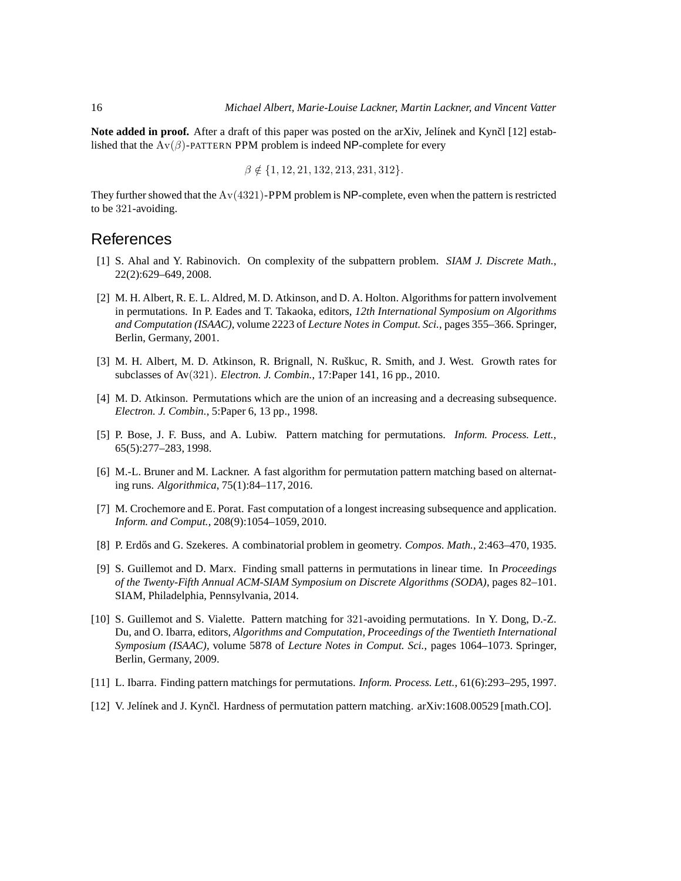**Note added in proof.** After a draft of this paper was posted on the arXiv, Jelínek and Kynčl [12] established that the  $Av(\beta)$ -PATTERN PPM problem is indeed NP-complete for every

$$
\beta \notin \{1, 12, 21, 132, 213, 231, 312\}.
$$

They further showed that the  $Av(4321)$ -PPM problem is NP-complete, even when the pattern is restricted to be 321-avoiding.

#### References

- [1] S. Ahal and Y. Rabinovich. On complexity of the subpattern problem. *SIAM J. Discrete Math.*, 22(2):629–649, 2008.
- [2] M. H. Albert, R. E. L. Aldred, M. D. Atkinson, and D. A. Holton. Algorithms for pattern involvement in permutations. In P. Eades and T. Takaoka, editors, *12th International Symposium on Algorithms and Computation (ISAAC)*, volume 2223 of *Lecture Notes in Comput. Sci.*, pages 355–366. Springer, Berlin, Germany, 2001.
- [3] M. H. Albert, M. D. Atkinson, R. Brignall, N. Ruškuc, R. Smith, and J. West. Growth rates for subclasses of Av(321). *Electron. J. Combin.*, 17:Paper 141, 16 pp., 2010.
- [4] M. D. Atkinson. Permutations which are the union of an increasing and a decreasing subsequence. *Electron. J. Combin.*, 5:Paper 6, 13 pp., 1998.
- [5] P. Bose, J. F. Buss, and A. Lubiw. Pattern matching for permutations. *Inform. Process. Lett.*, 65(5):277–283, 1998.
- [6] M.-L. Bruner and M. Lackner. A fast algorithm for permutation pattern matching based on alternating runs. *Algorithmica*, 75(1):84–117, 2016.
- [7] M. Crochemore and E. Porat. Fast computation of a longest increasing subsequence and application. *Inform. and Comput.*, 208(9):1054–1059, 2010.
- [8] P. Erd˝os and G. Szekeres. A combinatorial problem in geometry. *Compos. Math.*, 2:463–470, 1935.
- [9] S. Guillemot and D. Marx. Finding small patterns in permutations in linear time. In *Proceedings of the Twenty-Fifth Annual ACM-SIAM Symposium on Discrete Algorithms (SODA)*, pages 82–101. SIAM, Philadelphia, Pennsylvania, 2014.
- [10] S. Guillemot and S. Vialette. Pattern matching for 321-avoiding permutations. In Y. Dong, D.-Z. Du, and O. Ibarra, editors, *Algorithms and Computation, Proceedings of the Twentieth International Symposium (ISAAC)*, volume 5878 of *Lecture Notes in Comput. Sci.*, pages 1064–1073. Springer, Berlin, Germany, 2009.
- [11] L. Ibarra. Finding pattern matchings for permutations. *Inform. Process. Lett.*, 61(6):293–295, 1997.
- [12] V. Jelínek and J. Kynčl. Hardness of permutation pattern matching. arXiv:1608.00529 [math.CO].